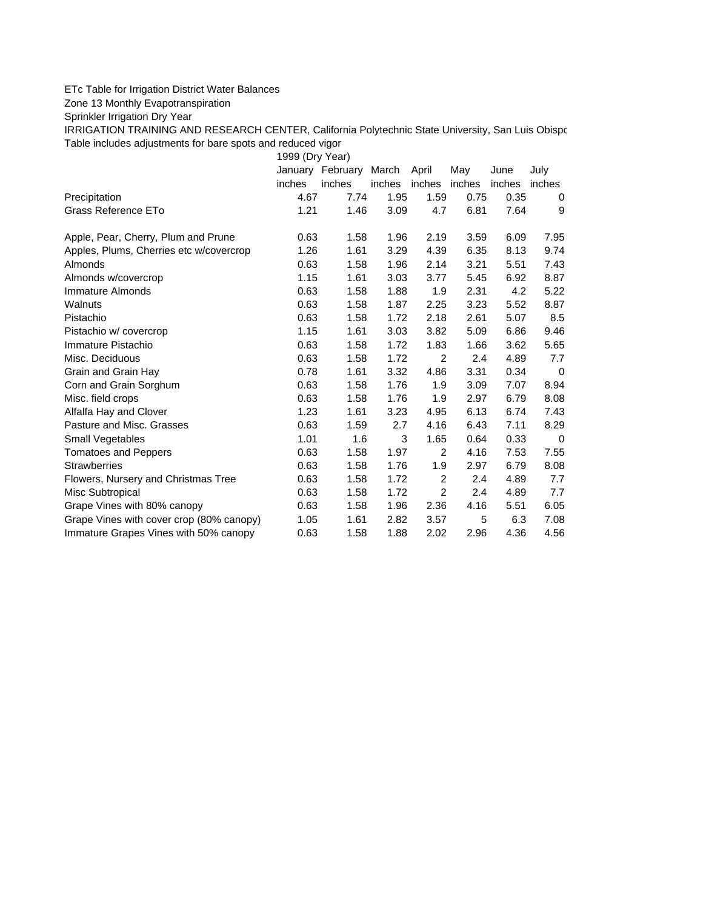## ETc Table for Irrigation District Water Balances

Zone 13 Monthly Evapotranspiration

Sprinkler Irrigation Dry Year

IRRIGATION TRAINING AND RESEARCH CENTER, California Polytechnic State University, San Luis Obispo Table includes adjustments for bare spots and reduced vigor

1999 (Dry Year)

|                                          |        | January February | March  | April  | May    | June   | July        |
|------------------------------------------|--------|------------------|--------|--------|--------|--------|-------------|
|                                          | inches | inches           | inches | inches | inches | inches | inches      |
| Precipitation                            | 4.67   | 7.74             | 1.95   | 1.59   | 0.75   | 0.35   | 0           |
| Grass Reference ETo                      | 1.21   | 1.46             | 3.09   | 4.7    | 6.81   | 7.64   | 9           |
| Apple, Pear, Cherry, Plum and Prune      | 0.63   | 1.58             | 1.96   | 2.19   | 3.59   | 6.09   | 7.95        |
| Apples, Plums, Cherries etc w/covercrop  | 1.26   | 1.61             | 3.29   | 4.39   | 6.35   | 8.13   | 9.74        |
| Almonds                                  | 0.63   | 1.58             | 1.96   | 2.14   | 3.21   | 5.51   | 7.43        |
| Almonds w/covercrop                      | 1.15   | 1.61             | 3.03   | 3.77   | 5.45   | 6.92   | 8.87        |
| Immature Almonds                         | 0.63   | 1.58             | 1.88   | 1.9    | 2.31   | 4.2    | 5.22        |
| Walnuts                                  | 0.63   | 1.58             | 1.87   | 2.25   | 3.23   | 5.52   | 8.87        |
| Pistachio                                | 0.63   | 1.58             | 1.72   | 2.18   | 2.61   | 5.07   | 8.5         |
| Pistachio w/ covercrop                   | 1.15   | 1.61             | 3.03   | 3.82   | 5.09   | 6.86   | 9.46        |
| Immature Pistachio                       | 0.63   | 1.58             | 1.72   | 1.83   | 1.66   | 3.62   | 5.65        |
| Misc. Deciduous                          | 0.63   | 1.58             | 1.72   | 2      | 2.4    | 4.89   | 7.7         |
| Grain and Grain Hay                      | 0.78   | 1.61             | 3.32   | 4.86   | 3.31   | 0.34   | $\Omega$    |
| Corn and Grain Sorghum                   | 0.63   | 1.58             | 1.76   | 1.9    | 3.09   | 7.07   | 8.94        |
| Misc. field crops                        | 0.63   | 1.58             | 1.76   | 1.9    | 2.97   | 6.79   | 8.08        |
| Alfalfa Hay and Clover                   | 1.23   | 1.61             | 3.23   | 4.95   | 6.13   | 6.74   | 7.43        |
| Pasture and Misc. Grasses                | 0.63   | 1.59             | 2.7    | 4.16   | 6.43   | 7.11   | 8.29        |
| Small Vegetables                         | 1.01   | 1.6              | 3      | 1.65   | 0.64   | 0.33   | $\mathbf 0$ |
| <b>Tomatoes and Peppers</b>              | 0.63   | 1.58             | 1.97   | 2      | 4.16   | 7.53   | 7.55        |
| <b>Strawberries</b>                      | 0.63   | 1.58             | 1.76   | 1.9    | 2.97   | 6.79   | 8.08        |
| Flowers, Nursery and Christmas Tree      | 0.63   | 1.58             | 1.72   | 2      | 2.4    | 4.89   | 7.7         |
| Misc Subtropical                         | 0.63   | 1.58             | 1.72   | 2      | 2.4    | 4.89   | 7.7         |
| Grape Vines with 80% canopy              | 0.63   | 1.58             | 1.96   | 2.36   | 4.16   | 5.51   | 6.05        |
| Grape Vines with cover crop (80% canopy) | 1.05   | 1.61             | 2.82   | 3.57   | 5      | 6.3    | 7.08        |
| Immature Grapes Vines with 50% canopy    | 0.63   | 1.58             | 1.88   | 2.02   | 2.96   | 4.36   | 4.56        |